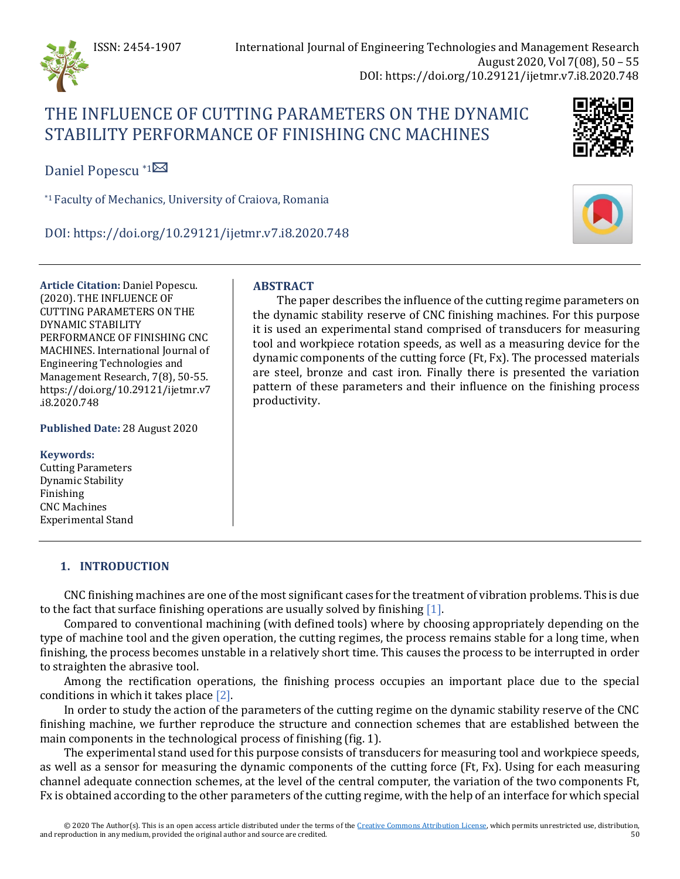

# THE INFLUENCE OF CUTTING PARAMETERS ON THE DYNAMIC STABILITY PERFORMANCE OF FINISHING CNC MACHINES



Daniel Popescu \*1

\*1 Faculty of Mechanics, University of Craiova, Romania

DOI: https://doi.org/10.29121/ijetmr.v7.i8.2020.748

**Article Citation:** Daniel Popescu. (2020). THE INFLUENCE OF CUTTING PARAMETERS ON THE DYNAMIC STABILITY PERFORMANCE OF FINISHING CNC MACHINES. International Journal of Engineering Technologies and Management Research, 7(8), 50-55. https://doi.org/10.29121/ijetmr.v7 .i8.2020.748

**Published Date:** 28 August 2020

#### **Keywords:**

Cutting Parameters Dynamic Stability Finishing CNC Machines Experimental Stand

# **ABSTRACT**

The paper describes the influence of the cutting regime parameters on the dynamic stability reserve of CNC finishing machines. For this purpose it is used an experimental stand comprised of transducers for measuring tool and workpiece rotation speeds, as well as a measuring device for the dynamic components of the cutting force (Ft, Fx). The processed materials are steel, bronze and cast iron. Finally there is presented the variation pattern of these parameters and their influence on the finishing process productivity.

# **1. INTRODUCTION**

CNC finishing machines are one of the most significant cases for the treatment of vibration problems. This is due to the fact that surface finishing operations are usually solved by finishing [\[1\].](#page-5-0)

Compared to conventional machining (with defined tools) where by choosing appropriately depending on the type of machine tool and the given operation, the cutting regimes, the process remains stable for a long time, when finishing, the process becomes unstable in a relatively short time. This causes the process to be interrupted in order to straighten the abrasive tool.

Among the rectification operations, the finishing process occupies an important place due to the special conditions in which it takes place [\[2\].](#page-5-1)

In order to study the action of the parameters of the cutting regime on the dynamic stability reserve of the CNC finishing machine, we further reproduce the structure and connection schemes that are established between the main components in the technological process of finishing (fig. 1).

The experimental stand used for this purpose consists of transducers for measuring tool and workpiece speeds, as well as a sensor for measuring the dynamic components of the cutting force (Ft, Fx). Using for each measuring channel adequate connection schemes, at the level of the central computer, the variation of the two components Ft, Fx is obtained according to the other parameters of the cutting regime, with the help of an interface for which special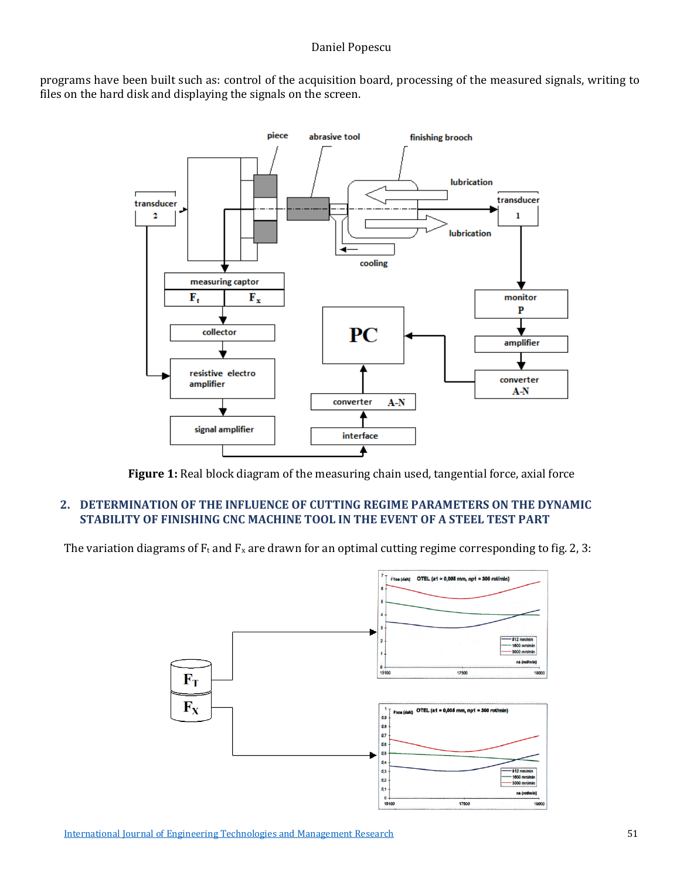programs have been built such as: control of the acquisition board, processing of the measured signals, writing to files on the hard disk and displaying the signals on the screen.



**Figure 1:** Real block diagram of the measuring chain used, tangential force, axial force

### **2. DETERMINATION OF THE INFLUENCE OF CUTTING REGIME PARAMETERS ON THE DYNAMIC STABILITY OF FINISHING CNC MACHINE TOOL IN THE EVENT OF A STEEL TEST PART**

The variation diagrams of  $F_t$  and  $F_x$  are drawn for an optimal cutting regime corresponding to fig. 2, 3:

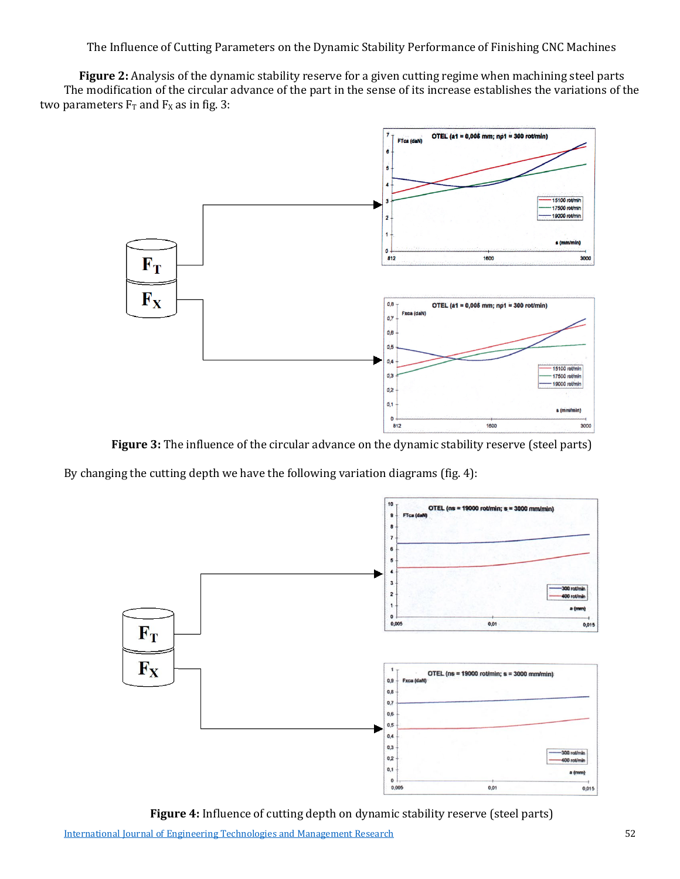The Influence of Cutting Parameters on the Dynamic Stability Performance of Finishing CNC Machines

**Figure 2:** Analysis of the dynamic stability reserve for a given cutting regime when machining steel parts The modification of the circular advance of the part in the sense of its increase establishes the variations of the two parameters  $F_T$  and  $F_X$  as in fig. 3:



**Figure 3:** The influence of the circular advance on the dynamic stability reserve (steel parts)

By changing the cutting depth we have the following variation diagrams (fig. 4):



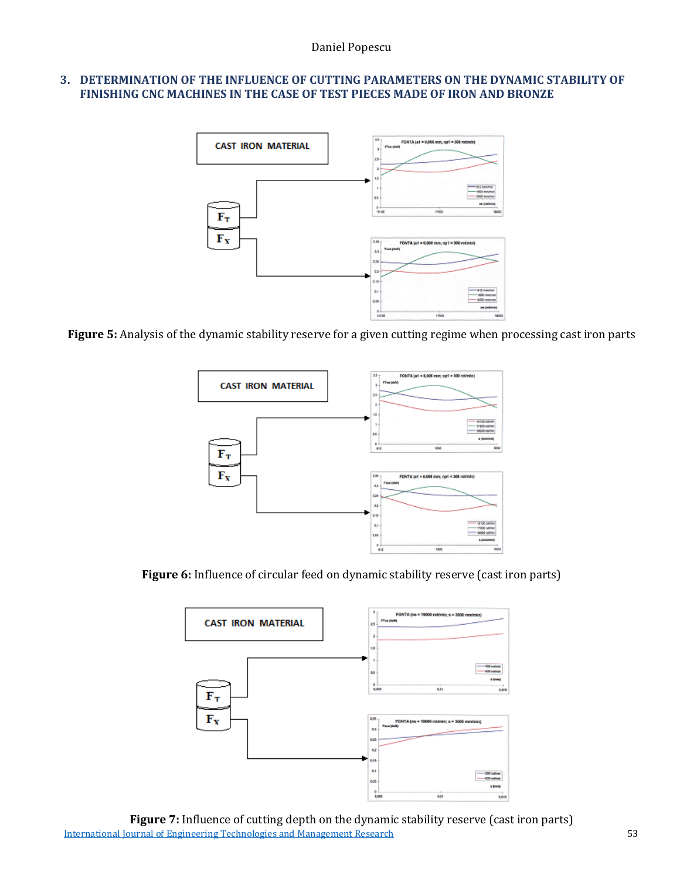#### **3. DETERMINATION OF THE INFLUENCE OF CUTTING PARAMETERS ON THE DYNAMIC STABILITY OF FINISHING CNC MACHINES IN THE CASE OF TEST PIECES MADE OF IRON AND BRONZE**



**Figure 5:** Analysis of the dynamic stability reserve for a given cutting regime when processing cast iron parts



**Figure 6:** Influence of circular feed on dynamic stability reserve (cast iron parts)



[International Journal of Engineering Technologies and Management Research](https://www.granthaalayahpublication.org/ijetmr-ojms/index.php/ijetmr) 53 **Figure 7:** Influence of cutting depth on the dynamic stability reserve (cast iron parts)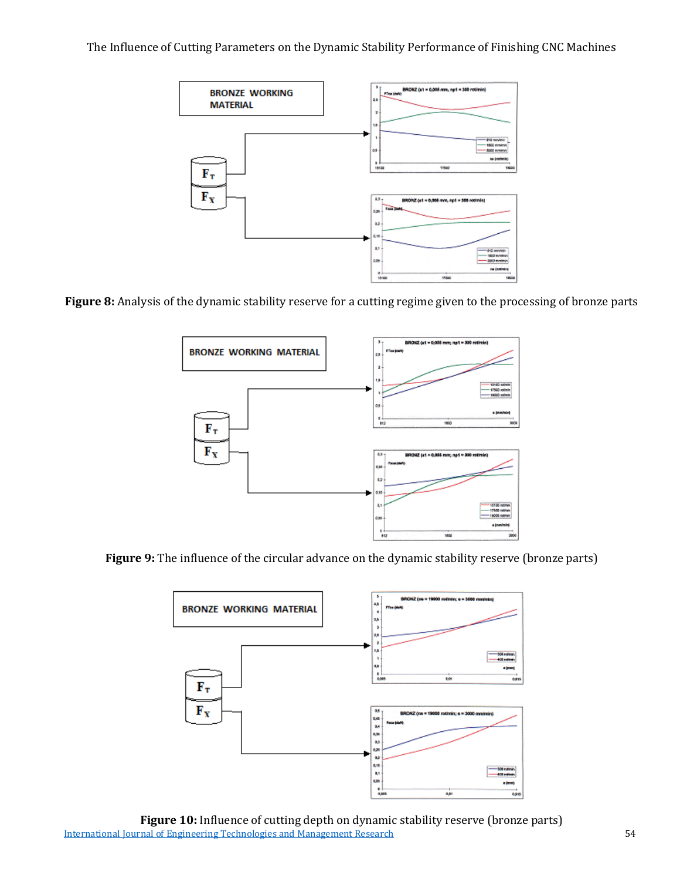The Influence of Cutting Parameters on the Dynamic Stability Performance of Finishing CNC Machines



**Figure 8:** Analysis of the dynamic stability reserve for a cutting regime given to the processing of bronze parts



**Figure 9:** The influence of the circular advance on the dynamic stability reserve (bronze parts)



[International Journal of Engineering Technologies and Management Research](https://www.granthaalayahpublication.org/ijetmr-ojms/index.php/ijetmr) 54 **Figure 10:** Influence of cutting depth on dynamic stability reserve (bronze parts)